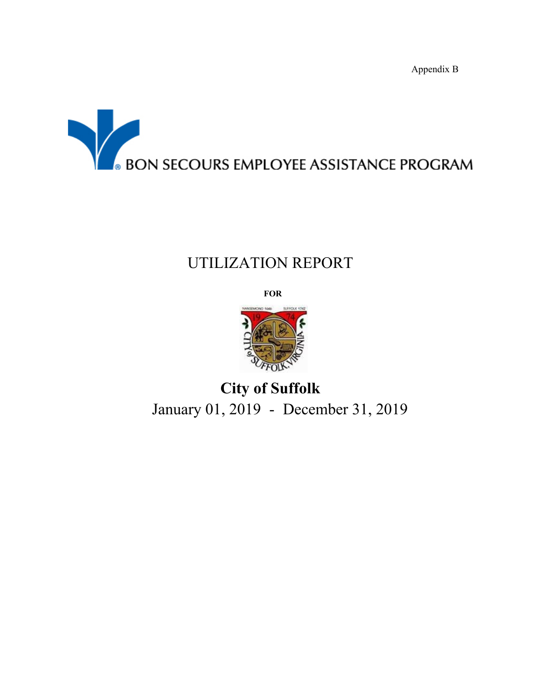Appendix B



# UTILIZATION REPORT

**FOR**



**City of Suffolk** January 01, 2019 - December 31, 2019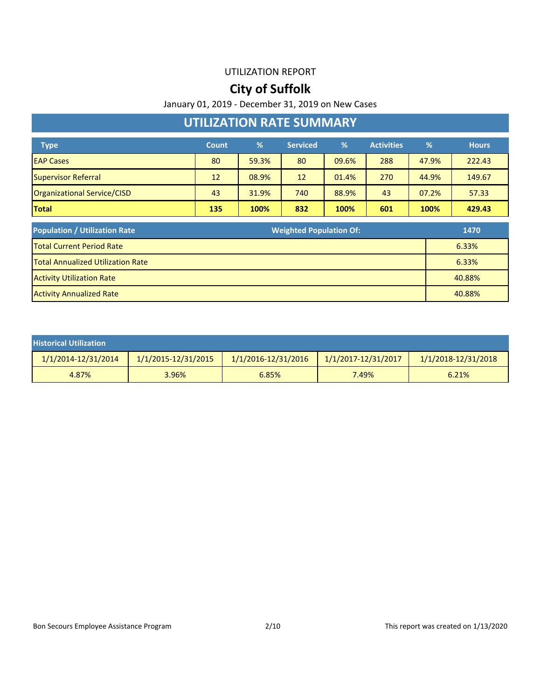### **City of Suffolk**

January 01, 2019 - December 31, 2019 on New Cases

### **UTILIZATION RATE SUMMARY**

| <b>Type</b>                 | <b>Count</b> | %     | <b>Serviced</b> | $\%$  | <b>Activities</b> | %     | <b>Hours</b> |
|-----------------------------|--------------|-------|-----------------|-------|-------------------|-------|--------------|
| <b>EAP Cases</b>            | 80           | 59.3% | 80              | 09.6% | 288               | 47.9% | 222.43       |
| Supervisor Referral         | 12           | 08.9% | 12              | 01.4% | 270               | 44.9% | 149.67       |
| Organizational Service/CISD | 43           | 31.9% | 740             | 88.9% | 43                | 07.2% | 57.33        |
| <b>Total</b>                | 135          | 100%  | 832             | 100%  | 601               | 100%  | 429.43       |

| <b>Population / Utilization Rate</b>     | <b>Weighted Population Of:</b><br>1470 |  |
|------------------------------------------|----------------------------------------|--|
| <b>Total Current Period Rate</b>         | 6.33%                                  |  |
| <b>Total Annualized Utilization Rate</b> | 6.33%                                  |  |
| <b>Activity Utilization Rate</b>         | 40.88%                                 |  |
| <b>Activity Annualized Rate</b>          | 40.88%                                 |  |

| <b>Historical Utilization</b> |                     |                         |                         |                         |
|-------------------------------|---------------------|-------------------------|-------------------------|-------------------------|
| 1/1/2014-12/31/2014           | 1/1/2015-12/31/2015 | $1/1/2016 - 12/31/2016$ | $1/1/2017 - 12/31/2017$ | $1/1/2018 - 12/31/2018$ |
| 4.87%                         | 3.96%               | 6.85%                   | 7.49%                   | 6.21%                   |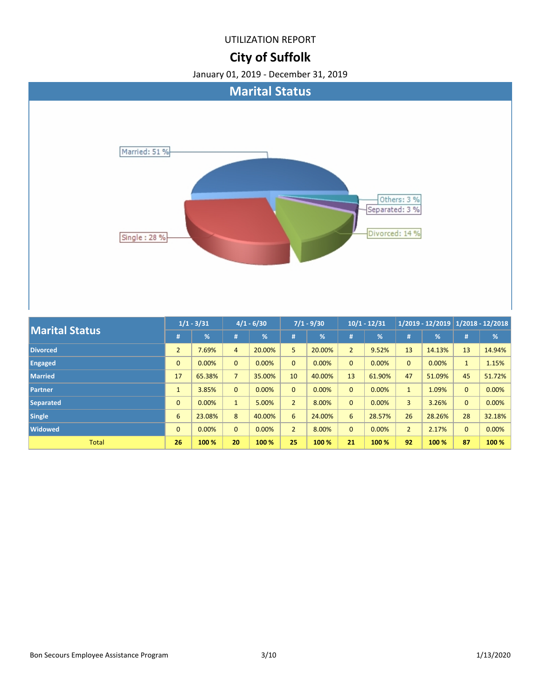# **City of Suffolk**



| <b>Marital Status</b> |                | $1/1 - 3/31$  | $4/1 - 6/30$   |               | $7/1 - 9/30$   |               | $10/1 - 12/31$ |               | $1/2019 - 12/2019$ 1/2018 - 12/2018 |               |              |        |
|-----------------------|----------------|---------------|----------------|---------------|----------------|---------------|----------------|---------------|-------------------------------------|---------------|--------------|--------|
|                       | #              | $\frac{9}{6}$ | #              | $\frac{9}{6}$ | #              | $\frac{9}{6}$ | #              | $\frac{9}{6}$ | #                                   | $\frac{9}{6}$ | #            | %      |
| <b>Divorced</b>       | $\overline{2}$ | 7.69%         | $\overline{4}$ | 20.00%        | 5              | 20.00%        | $\overline{2}$ | 9.52%         | 13                                  | 14.13%        | 13           | 14.94% |
| <b>Engaged</b>        | $\mathbf{0}$   | 0.00%         | $\mathbf{0}$   | 0.00%         | $\overline{0}$ | 0.00%         | $\mathbf{0}$   | 0.00%         | $\mathbf{0}$                        | 0.00%         | $\mathbf{1}$ | 1.15%  |
| <b>Married</b>        | 17             | 65.38%        | $\overline{7}$ | 35.00%        | 10             | 40.00%        | 13             | 61.90%        | 47                                  | 51.09%        | 45           | 51.72% |
| <b>Partner</b>        | $\mathbf{1}$   | 3.85%         | $\mathbf{0}$   | 0.00%         | $\overline{0}$ | 0.00%         | $\overline{0}$ | 0.00%         | $\mathbf{1}$                        | 1.09%         | $\mathbf{0}$ | 0.00%  |
| <b>Separated</b>      | $\mathbf{0}$   | 0.00%         | $\mathbf{1}$   | 5.00%         | $\overline{2}$ | 8.00%         | $\mathbf{0}$   | 0.00%         | $\overline{3}$                      | 3.26%         | $\mathbf{0}$ | 0.00%  |
| Single                | 6              | 23.08%        | 8              | 40.00%        | 6              | 24.00%        | 6              | 28.57%        | 26                                  | 28.26%        | 28           | 32.18% |
| <b>Widowed</b>        | $\mathbf{0}$   | 0.00%         | $\mathbf{0}$   | 0.00%         | $\overline{2}$ | 8.00%         | $\mathbf{0}$   | 0.00%         | $\overline{2}$                      | 2.17%         | $\mathbf{0}$ | 0.00%  |
| <b>Total</b>          | 26             | 100 %         | 20             | 100 %         | 25             | 100 %         | 21             | 100 %         | 92                                  | 100 %         | 87           | 100 %  |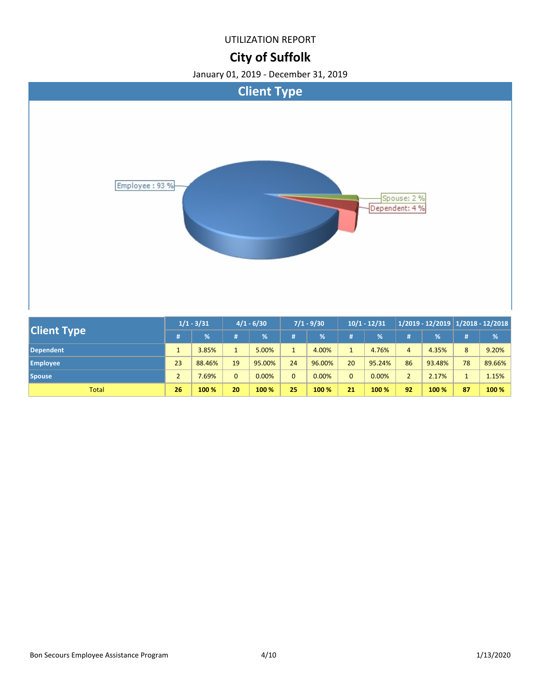### **City of Suffolk**

![](_page_3_Figure_3.jpeg)

| <b>Client Type</b> | $1/1 - 3/31$        |        | $4/1 - 6/30$ |        | $7/1 - 9/30$ |        | $10/1 - 12/31$ |        | $1/2019 - 12/2019$ 1/2018 - 12/2018 |        |    |        |
|--------------------|---------------------|--------|--------------|--------|--------------|--------|----------------|--------|-------------------------------------|--------|----|--------|
|                    |                     | %      |              | $\%$   |              | $\%$   | #              | %      | #                                   | %      | #  | %      |
| <b>Dependent</b>   |                     | 3.85%  | $\mathbf{1}$ | 5.00%  | $\mathbf{1}$ | 4.00%  |                | 4.76%  | 4                                   | 4.35%  | 8  | 9.20%  |
| <b>Employee</b>    | 23                  | 88.46% | 19           | 95.00% | 24           | 96.00% | 20             | 95.24% | 86                                  | 93.48% | 78 | 89.66% |
| <b>Spouse</b>      | $\overline{ }$<br>∠ | .69%   | $\mathbf{0}$ | 0.00%  | $\Omega$     | 0.00%  | $\Omega$       | 0.00%  |                                     | 2.17%  |    | 1.15%  |
| <b>Total</b>       | 26                  | 100 %  | 20           | 100 %  | 25           | 100 %  | 21             | 100 %  | 92                                  | 100 %  | 87 | 100 %  |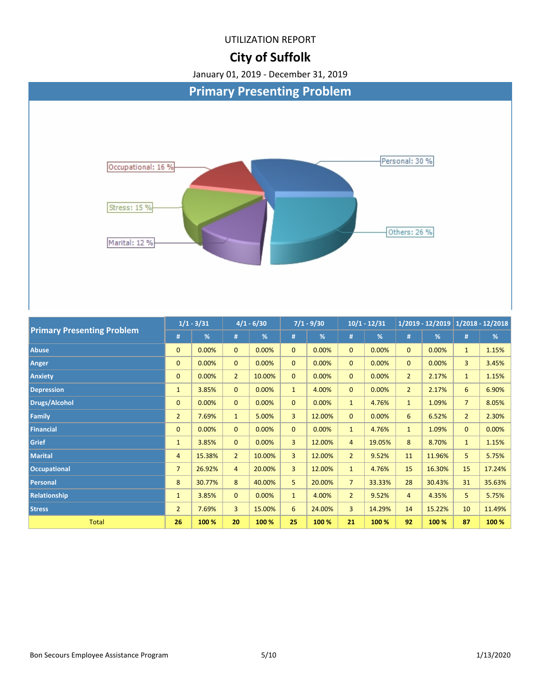### **City of Suffolk**

![](_page_4_Figure_3.jpeg)

| <b>Primary Presenting Problem</b> |                | -7 - - - - - - - | 77 - 77 JU     |        | $11 - 3130$    |        | $101 - 121 - 1$ |        | 176019 - 1476019 |        | $1/2010 - 12/2010$ |        |
|-----------------------------------|----------------|------------------|----------------|--------|----------------|--------|-----------------|--------|------------------|--------|--------------------|--------|
|                                   | #              | %                | #              | %      | #              | %      | #               | %      | #                | %      | #                  | %      |
| <b>Abuse</b>                      | $\mathbf{0}$   | 0.00%            | $\overline{0}$ | 0.00%  | $\mathbf{0}$   | 0.00%  | $\overline{0}$  | 0.00%  | $\mathbf{0}$     | 0.00%  | $\mathbf{1}$       | 1.15%  |
| Anger                             | $\mathbf{0}$   | 0.00%            | $\mathbf{0}$   | 0.00%  | $\mathbf{0}$   | 0.00%  | $\mathbf{0}$    | 0.00%  | $\mathbf{0}$     | 0.00%  | $\overline{3}$     | 3.45%  |
| Anxiety                           | $\mathbf{0}$   | 0.00%            | $\overline{2}$ | 10.00% | $\mathbf{0}$   | 0.00%  | $\mathbf{0}$    | 0.00%  | $\overline{2}$   | 2.17%  | $\mathbf{1}$       | 1.15%  |
| <b>Depression</b>                 | $\mathbf{1}$   | 3.85%            | $\overline{0}$ | 0.00%  | $\mathbf{1}$   | 4.00%  | $\mathbf{0}$    | 0.00%  | $\overline{2}$   | 2.17%  | 6                  | 6.90%  |
| <b>Drugs/Alcohol</b>              | $\mathbf{0}$   | 0.00%            | $\overline{0}$ | 0.00%  | $\Omega$       | 0.00%  | 1               | 4.76%  | $\mathbf{1}$     | 1.09%  | $\overline{7}$     | 8.05%  |
| <b>Family</b>                     | $\overline{2}$ | 7.69%            | $\mathbf{1}$   | 5.00%  | 3              | 12.00% | $\mathbf{0}$    | 0.00%  | 6                | 6.52%  | $\overline{2}$     | 2.30%  |
| <b>Financial</b>                  | $\mathbf{0}$   | 0.00%            | $\mathbf{0}$   | 0.00%  | $\Omega$       | 0.00%  | $\mathbf{1}$    | 4.76%  | $\mathbf{1}$     | 1.09%  | $\mathbf{0}$       | 0.00%  |
| <b>Grief</b>                      | $\mathbf{1}$   | 3.85%            | $\mathbf{0}$   | 0.00%  | $\overline{3}$ | 12.00% | $\overline{4}$  | 19.05% | 8                | 8.70%  | $\mathbf{1}$       | 1.15%  |
| <b>Marital</b>                    | 4              | 15.38%           | $\overline{2}$ | 10.00% | $\overline{3}$ | 12.00% | $\overline{2}$  | 9.52%  | 11               | 11.96% | 5                  | 5.75%  |
| <b>Occupational</b>               | $\overline{7}$ | 26.92%           | $\overline{4}$ | 20.00% | $\overline{3}$ | 12.00% | $\mathbf{1}$    | 4.76%  | 15               | 16.30% | 15                 | 17.24% |
| Personal                          | 8              | 30.77%           | 8              | 40.00% | 5              | 20.00% | $\overline{7}$  | 33.33% | 28               | 30.43% | 31                 | 35.63% |
| Relationship                      | $\mathbf{1}$   | 3.85%            | $\mathbf{0}$   | 0.00%  | $\mathbf{1}$   | 4.00%  | $\overline{2}$  | 9.52%  | $\overline{4}$   | 4.35%  | 5                  | 5.75%  |
| <b>Stress</b>                     | $\overline{2}$ | 7.69%            | 3              | 15.00% | 6              | 24.00% | $\overline{3}$  | 14.29% | 14               | 15.22% | 10                 | 11.49% |
| <b>Total</b>                      | 26             | 100 %            | 20             | 100 %  | 25             | 100 %  | 21              | 100 %  | 92               | 100 %  | 87                 | 100 %  |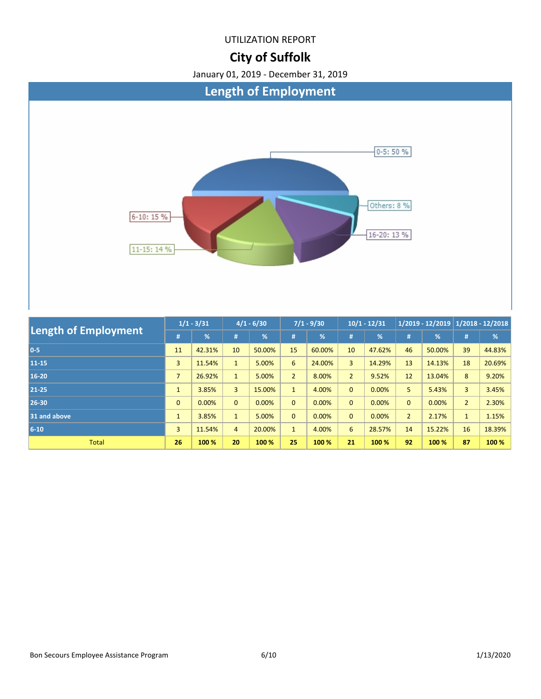### **City of Suffolk**

![](_page_5_Figure_3.jpeg)

| <b>Length of Employment</b> |                | $1/1 - 3/31$ | $4/1 - 6/30$   |        | $7/1 - 9/30$   |        | $10/1 - 12/31$ |        | $1/2019 - 12/2019$ 1/2018 - 12/2018 |        |                |        |
|-----------------------------|----------------|--------------|----------------|--------|----------------|--------|----------------|--------|-------------------------------------|--------|----------------|--------|
|                             |                | %            | #              | %      | #              | %      | #              | %      | #                                   | %      | #              | %      |
| $0-5$                       | 11             | 42.31%       | 10             | 50.00% | 15             | 60.00% | 10             | 47.62% | 46                                  | 50.00% | 39             | 44.83% |
| 11-15                       | 3              | 11.54%       | $\mathbf{1}$   | 5.00%  | 6              | 24.00% | 3              | 14.29% | 13                                  | 14.13% | 18             | 20.69% |
| 16-20                       | $\overline{7}$ | 26.92%       | $\mathbf{1}$   | 5.00%  | $\overline{2}$ | 8.00%  | $\overline{2}$ | 9.52%  | 12                                  | 13.04% | 8              | 9.20%  |
| 21-25                       | $\mathbf{1}$   | 3.85%        | $\overline{3}$ | 15.00% | $\mathbf{1}$   | 4.00%  | $\mathbf{0}$   | 0.00%  | 5.                                  | 5.43%  | 3              | 3.45%  |
| 26-30                       | $\mathbf{0}$   | 0.00%        | $\overline{0}$ | 0.00%  | $\overline{0}$ | 0.00%  | $\mathbf{0}$   | 0.00%  | $\mathbf{0}$                        | 0.00%  | $\overline{2}$ | 2.30%  |
| 31 and above                | $\mathbf{1}$   | 3.85%        | $\mathbf{1}$   | 5.00%  | $\mathbf{0}$   | 0.00%  | $\mathbf{0}$   | 0.00%  | $\overline{2}$                      | 2.17%  | $\mathbf{1}$   | 1.15%  |
| $6 - 10$                    | 3              | 11.54%       | $\overline{4}$ | 20.00% |                | 4.00%  | 6              | 28.57% | 14                                  | 15.22% | 16             | 18.39% |
| <b>Total</b>                | 26             | 100 %        | 20             | 100 %  | 25             | 100 %  | 21             | 100 %  | 92                                  | 100 %  | 87             | 100 %  |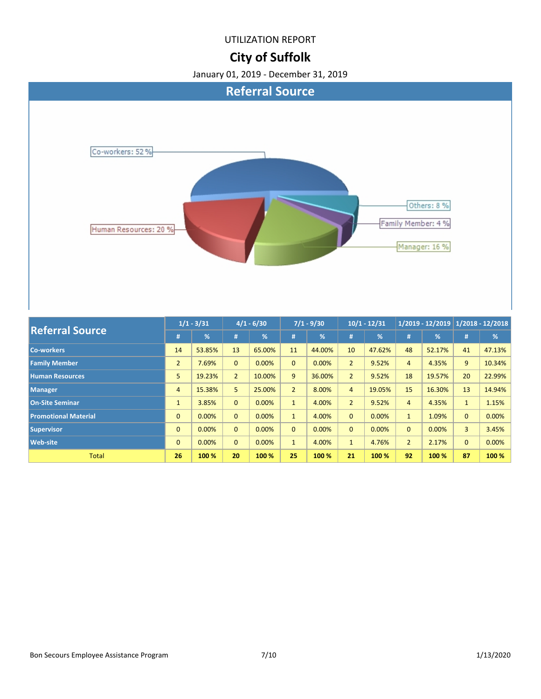# **City of Suffolk**

![](_page_6_Figure_3.jpeg)

| <b>Referral Source</b>      |                | $1/1 - 3/31$ | $4/1 - 6/30$   |        | $7/1 - 9/30$   |        | $10/1 - 12/31$ |        | $1/2019 - 12/2019$ 1/2018 - 12/2018 |        |                |        |
|-----------------------------|----------------|--------------|----------------|--------|----------------|--------|----------------|--------|-------------------------------------|--------|----------------|--------|
|                             | #              | %            | #              | %      | #              | %      | #              | %      | #                                   | %      | #              | %      |
| <b>Co-workers</b>           | 14             | 53.85%       | 13             | 65.00% | 11             | 44.00% | 10             | 47.62% | 48                                  | 52.17% | 41             | 47.13% |
| <b>Family Member</b>        | $\overline{2}$ | 7.69%        | $\mathbf{0}$   | 0.00%  | $\overline{0}$ | 0.00%  | $\overline{2}$ | 9.52%  | 4                                   | 4.35%  | 9              | 10.34% |
| <b>Human Resources</b>      | 5              | 19.23%       | $\overline{2}$ | 10.00% | 9              | 36.00% | $\overline{2}$ | 9.52%  | 18                                  | 19.57% | 20             | 22.99% |
| Manager                     | $\overline{4}$ | 15.38%       | 5              | 25.00% | $\overline{2}$ | 8.00%  | 4              | 19.05% | 15                                  | 16.30% | 13             | 14.94% |
| <b>On-Site Seminar</b>      | $\mathbf{1}$   | 3.85%        | $\mathbf{0}$   | 0.00%  | $\mathbf{1}$   | 4.00%  | $\overline{2}$ | 9.52%  | 4                                   | 4.35%  | $\mathbf{1}$   | 1.15%  |
| <b>Promotional Material</b> | $\mathbf{0}$   | 0.00%        | $\mathbf{0}$   | 0.00%  | $\mathbf{1}$   | 4.00%  | $\overline{0}$ | 0.00%  | $\mathbf{1}$                        | 1.09%  | $\mathbf{0}$   | 0.00%  |
| <b>Supervisor</b>           | $\mathbf{0}$   | 0.00%        | $\mathbf{0}$   | 0.00%  | $\overline{0}$ | 0.00%  | $\mathbf{0}$   | 0.00%  | $\Omega$                            | 0.00%  | $\overline{3}$ | 3.45%  |
| <b>Web-site</b>             | $\mathbf{0}$   | 0.00%        | $\mathbf{0}$   | 0.00%  | $\mathbf{1}$   | 4.00%  | $\mathbf{1}$   | 4.76%  | $\overline{2}$                      | 2.17%  | $\mathbf{0}$   | 0.00%  |
| <b>Total</b>                | 26             | 100 %        | 20             | 100 %  | 25             | 100 %  | 21             | 100 %  | 92                                  | 100 %  | 87             | 100 %  |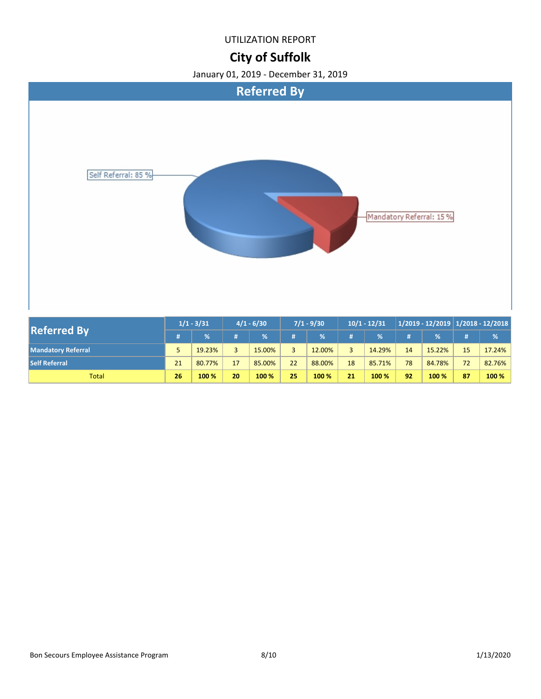### **City of Suffolk**

![](_page_7_Figure_3.jpeg)

| <b>Referred By</b>        | $1/1 - 3/31$ |        |                | $4/1 - 6/30$ |    | $7/1 - 9/30$  |                | $10/1 - 12/31$ |    |        |    | $1/2019 - 12/2019$ 1/2018 - 12/2018 |  |
|---------------------------|--------------|--------|----------------|--------------|----|---------------|----------------|----------------|----|--------|----|-------------------------------------|--|
|                           |              | %      |                | $\%$         |    | $\frac{9}{6}$ | #              | %              |    | %      | #  | $\frac{9}{6}$                       |  |
| <b>Mandatory Referral</b> |              | 19.23% | $\overline{3}$ | 15.00%       |    | 12.00%        | $\overline{a}$ | 14.29%         | 14 | 15.22% | 15 | 17.24%                              |  |
| <b>Self Referral</b>      | 21           | 80.77% | 17             | 85.00%       | 22 | 88.00%        | 18             | 85.71%         | 78 | 84.78% | 72 | 82.76%                              |  |
| <b>Total</b>              | 26           | 100 %  | 20             | 100 %        | 25 | 100 %         | 21             | 100 %          | 92 | 100 %  | 87 | 100 %                               |  |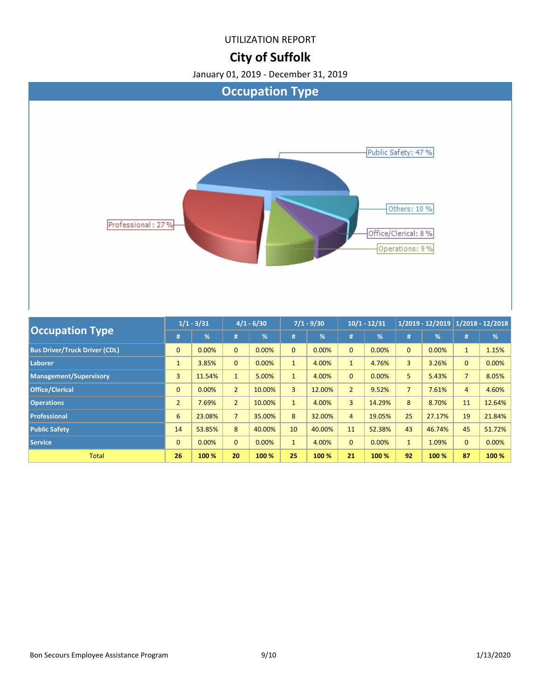### **City of Suffolk**

![](_page_8_Figure_3.jpeg)

| <b>Occupation Type</b>               |                | $1/1 - 3/31$ | $4/1 - 6/30$   |        | $7/1 - 9/30$   |        | $10/1 - 12/31$ |               | $1/2019 - 12/2019$ 1/2018 - 12/2018 |        |                |        |
|--------------------------------------|----------------|--------------|----------------|--------|----------------|--------|----------------|---------------|-------------------------------------|--------|----------------|--------|
|                                      | #              | %            | #              | %      | #              | %      | #              | $\frac{9}{6}$ | #                                   | %      | #              | %      |
| <b>Bus Driver/Truck Driver (CDL)</b> | $\mathbf{0}$   | 0.00%        | $\mathbf{0}$   | 0.00%  | $\Omega$       | 0.00%  | $\mathbf{0}$   | 0.00%         | $\mathbf{0}$                        | 0.00%  | $\mathbf{1}$   | 1.15%  |
| Laborer                              | $\mathbf{1}$   | 3.85%        | $\overline{0}$ | 0.00%  | 1              | 4.00%  | $\mathbf{1}$   | 4.76%         | 3                                   | 3.26%  | $\mathbf{0}$   | 0.00%  |
| <b>Management/Supervisory</b>        | 3              | 11.54%       | $\mathbf{1}$   | 5.00%  | $\mathbf{1}$   | 4.00%  | $\mathbf{0}$   | 0.00%         | 5                                   | 5.43%  | $\overline{7}$ | 8.05%  |
| <b>Office/Clerical</b>               | $\mathbf{0}$   | 0.00%        | $\overline{2}$ | 10.00% | $\overline{3}$ | 12.00% | $\overline{2}$ | 9.52%         | $\overline{7}$                      | 7.61%  | $\overline{4}$ | 4.60%  |
| <b>Operations</b>                    | $\overline{2}$ | 7.69%        | $\overline{2}$ | 10.00% | $\mathbf{1}$   | 4.00%  | 3              | 14.29%        | 8                                   | 8.70%  | 11             | 12.64% |
| <b>Professional</b>                  | 6              | 23.08%       | $\overline{7}$ | 35.00% | 8              | 32.00% | $\overline{4}$ | 19.05%        | 25                                  | 27.17% | 19             | 21.84% |
| <b>Public Safety</b>                 | 14             | 53.85%       | 8              | 40.00% | 10             | 40.00% | 11             | 52.38%        | 43                                  | 46.74% | 45             | 51.72% |
| <b>Service</b>                       | $\mathbf{0}$   | 0.00%        | $\overline{0}$ | 0.00%  | $\mathbf{1}$   | 4.00%  | $\mathbf{0}$   | 0.00%         | $\mathbf{1}$                        | 1.09%  | $\mathbf{0}$   | 0.00%  |
| <b>Total</b>                         | 26             | 100 %        | 20             | 100 %  | 25             | 100 %  | 21             | 100 %         | 92                                  | 100 %  | 87             | 100 %  |